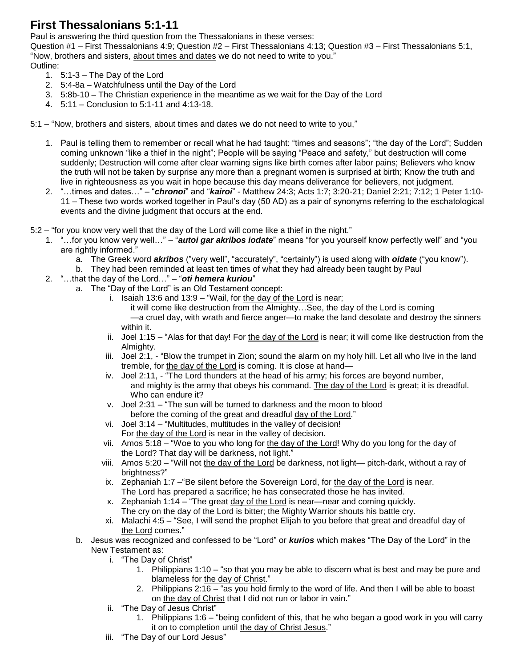## **First Thessalonians 5:1-11**

Paul is answering the third question from the Thessalonians in these verses:

Question #1 – First Thessalonians 4:9; Question #2 – First Thessalonians 4:13; Question #3 – First Thessalonians 5:1, "Now, brothers and sisters, about times and dates we do not need to write to you." Outline:

- 1. 5:1-3 The Day of the Lord
- 2. 5:4-8a Watchfulness until the Day of the Lord
- 3. 5:8b-10 The Christian experience in the meantime as we wait for the Day of the Lord
- 4. 5:11 Conclusion to 5:1-11 and 4:13-18.

5:1 – "Now, brothers and sisters, about times and dates we do not need to write to you,"

- 1. Paul is telling them to remember or recall what he had taught: "times and seasons"; "the day of the Lord"; Sudden coming unknown "like a thief in the night"; People will be saying "Peace and safety," but destruction will come suddenly; Destruction will come after clear warning signs like birth comes after labor pains; Believers who know the truth will not be taken by surprise any more than a pregnant women is surprised at birth; Know the truth and live in righteousness as you wait in hope because this day means deliverance for believers, not judgment.
- 2. "…times and dates…" "*chronoi*" and "*kairoi*" Matthew 24:3; Acts 1:7; 3:20-21; Daniel 2:21; 7:12; 1 Peter 1:10- 11 – These two words worked together in Paul's day (50 AD) as a pair of synonyms referring to the eschatological events and the divine judgment that occurs at the end.

5:2 – "for you know very well that the day of the Lord will come like a thief in the night."

- 1. "…for you know very well…" "*autoi gar akribos iodate*" means "for you yourself know perfectly well" and "you are rightly informed."
	- a. The Greek word *akribos* ("very well", "accurately", "certainly") is used along with *oidate* ("you know").
	- b. They had been reminded at least ten times of what they had already been taught by Paul
- 2. "…that the day of the Lord…" "*oti hemera kuriou*"
	- a. The "Day of the Lord" is an Old Testament concept:
		- i. Isaiah 13:6 and 13:9 "Wail, for the day of the Lord is near; it will come like destruction from the Almighty…See, the day of the Lord is coming —a cruel day, with wrath and fierce anger—to make the land desolate and destroy the sinners within it.
		- ii. Joel 1:15 "Alas for that day! For the day of the Lord is near; it will come like destruction from the Almighty.
		- iii. Joel 2:1, "Blow the trumpet in Zion; sound the alarm on my holy hill. Let all who live in the land tremble, for the day of the Lord is coming. It is close at hand-
		- iv. Joel 2:11, "The Lord thunders at the head of his army; his forces are beyond number, and mighty is the army that obeys his command. The day of the Lord is great; it is dreadful. Who can endure it?
		- v. Joel 2:31 "The sun will be turned to darkness and the moon to blood before the coming of the great and dreadful day of the Lord."
		- vi. Joel 3:14 "Multitudes, multitudes in the valley of decision! For the day of the Lord is near in the valley of decision.
		- vii. Amos 5:18 "Woe to you who long for the day of the Lord! Why do you long for the day of the Lord? That day will be darkness, not light."
		- viii. Amos 5:20 "Will not the day of the Lord be darkness, not light— pitch-dark, without a ray of brightness?"
		- ix. Zephaniah 1:7 –"Be silent before the Sovereign Lord, for the day of the Lord is near. The Lord has prepared a sacrifice; he has consecrated those he has invited.
		- x. Zephaniah 1:14 "The great day of the Lord is near—near and coming quickly. The cry on the day of the Lord is bitter; the Mighty Warrior shouts his battle cry.
		- xi. Malachi 4:5 "See, I will send the prophet Elijah to you before that great and dreadful day of the Lord comes."
		- b. Jesus was recognized and confessed to be "Lord" or *kurios* which makes "The Day of the Lord" in the New Testament as:
			- i. "The Day of Christ"
				- 1. Philippians 1:10 "so that you may be able to discern what is best and may be pure and blameless for the day of Christ."
				- 2. Philippians 2:16 "as you hold firmly to the word of life. And then I will be able to boast on the day of Christ that I did not run or labor in vain."
			- ii. "The Day of Jesus Christ"
				- 1. Philippians 1:6 "being confident of this, that he who began a good work in you will carry it on to completion until the day of Christ Jesus."
			- iii. "The Day of our Lord Jesus"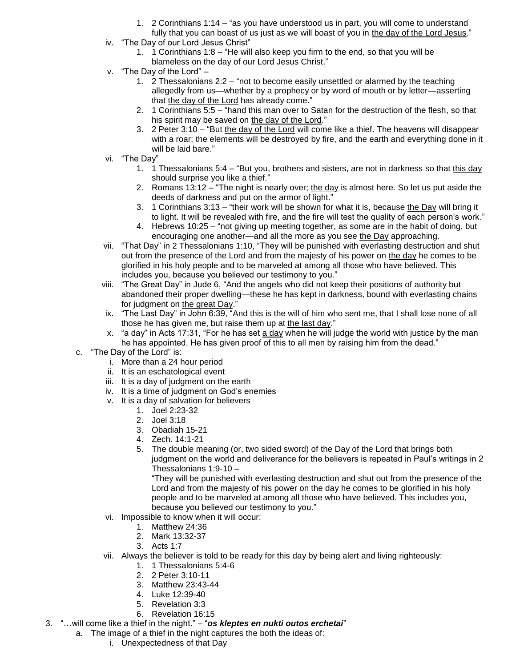- 1. 2 Corinthians 1:14 "as you have understood us in part, you will come to understand fully that you can boast of us just as we will boast of you in the day of the Lord Jesus."
- iv. "The Day of our Lord Jesus Christ"
	- 1. 1 Corinthians 1:8 "He will also keep you firm to the end, so that you will be blameless on the day of our Lord Jesus Christ."
- v. "The Day of the Lord"
	- 1. 2 Thessalonians 2:2 "not to become easily unsettled or alarmed by the teaching allegedly from us—whether by a prophecy or by word of mouth or by letter—asserting that the day of the Lord has already come."
	- 2. 1 Corinthians 5:5 "hand this man over to Satan for the destruction of the flesh, so that his spirit may be saved on the day of the Lord."
	- 3. 2 Peter 3:10 "But the day of the Lord will come like a thief. The heavens will disappear with a roar; the elements will be destroyed by fire, and the earth and everything done in it will be laid bare."
- vi. "The Day"
	- 1. 1 Thessalonians 5:4 "But you, brothers and sisters, are not in darkness so that this day should surprise you like a thief."
	- 2. Romans  $13:12$  "The night is nearly over; the day is almost here. So let us put aside the deeds of darkness and put on the armor of light."
	- 3. 1 Corinthians 3:13 "their work will be shown for what it is, because the Day will bring it to light. It will be revealed with fire, and the fire will test the quality of each person's work."
	- 4. Hebrews 10:25 "not giving up meeting together, as some are in the habit of doing, but encouraging one another—and all the more as you see the Day approaching.
- vii. "That Day" in 2 Thessalonians 1:10, "They will be punished with everlasting destruction and shut out from the presence of the Lord and from the majesty of his power on the day he comes to be glorified in his holy people and to be marveled at among all those who have believed. This includes you, because you believed our testimony to you."
- viii. "The Great Day" in Jude 6, "And the angels who did not keep their positions of authority but abandoned their proper dwelling—these he has kept in darkness, bound with everlasting chains for judgment on the great Day."
- ix. "The Last Day" in John 6:39, "And this is the will of him who sent me, that I shall lose none of all those he has given me, but raise them up at the last day."
- x. "a day" in Acts 17:31, "For he has set a day when he will judge the world with justice by the man he has appointed. He has given proof of this to all men by raising him from the dead."
- c. "The Day of the Lord" is:
	- i. More than a 24 hour period
	- ii. It is an eschatological event
	- iii. It is a day of judgment on the earth
	- iv. It is a time of judgment on God's enemies
	- v. It is a day of salvation for believers
		- 1. Joel 2:23-32
		- 2. Joel 3:18
		- 3. Obadiah 15-21
		- 4. Zech. 14:1-21
		- 5. The double meaning (or, two sided sword) of the Day of the Lord that brings both judgment on the world and deliverance for the believers is repeated in Paul's writings in 2 Thessalonians 1:9-10 –

"They will be punished with everlasting destruction and shut out from the presence of the Lord and from the majesty of his power on the day he comes to be glorified in his holy people and to be marveled at among all those who have believed. This includes you, because you believed our testimony to you."

- vi. Impossible to know when it will occur:
	- 1. Matthew 24:36
	- 2. Mark 13:32-37
	- 3. Acts 1:7
- vii. Always the believer is told to be ready for this day by being alert and living righteously:
	- 1. 1 Thessalonians 5:4-6
	- 2. 2 Peter 3:10-11
	- 3. Matthew 23:43-44
	- 4. Luke 12:39-40
	- 5. Revelation 3:3
	- 6. Revelation 16:15
- 3. "…will come like a thief in the night." "*os kleptes en nukti outos erchetai*"
	- a. The image of a thief in the night captures the both the ideas of:
		- i. Unexpectedness of that Day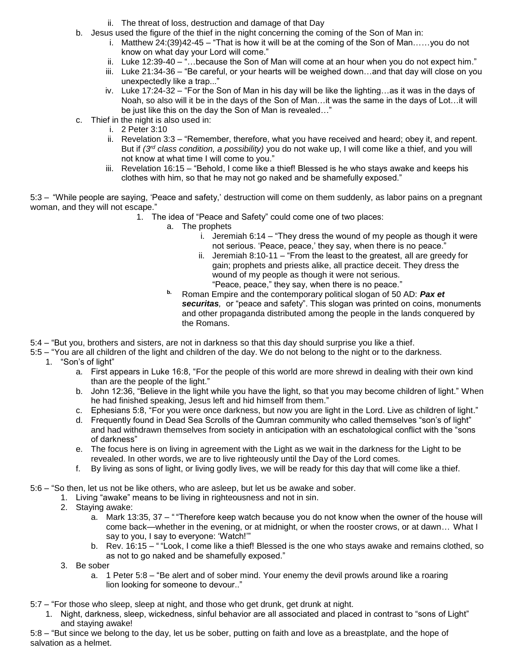- ii. The threat of loss, destruction and damage of that Day
- b. Jesus used the figure of the thief in the night concerning the coming of the Son of Man in:
	- i. Matthew  $24:(39)42-45$  "That is how it will be at the coming of the Son of Man......you do not know on what day your Lord will come."
	- ii. Luke 12:39-40 "...because the Son of Man will come at an hour when you do not expect him."
	- iii. Luke 21:34-36 "Be careful, or your hearts will be weighed down…and that day will close on you unexpectedly like a trap..."
	- iv. Luke 17:24-32 "For the Son of Man in his day will be like the lighting…as it was in the days of Noah, so also will it be in the days of the Son of Man…it was the same in the days of Lot…it will be just like this on the day the Son of Man is revealed…"
- c. Thief in the night is also used in:
	- i. 2 Peter 3:10
	- ii. Revelation 3:3 "Remember, therefore, what you have received and heard; obey it, and repent. But if *(3rd class condition, a possibility)* you do not wake up, I will come like a thief, and you will not know at what time I will come to you."
	- iii. Revelation 16:15 "Behold, I come like a thief! Blessed is he who stays awake and keeps his clothes with him, so that he may not go naked and be shamefully exposed."

5:3 – "While people are saying, 'Peace and safety,' destruction will come on them suddenly, as labor pains on a pregnant woman, and they will not escape."

- 1. The idea of "Peace and Safety" could come one of two places:
	- a. The prophets
		- i. Jeremiah 6:14 "They dress the wound of my people as though it were not serious. 'Peace, peace,' they say, when there is no peace."
		- ii. Jeremiah 8:10-11 "From the least to the greatest, all are greedy for gain; prophets and priests alike, all practice deceit. They dress the wound of my people as though it were not serious. "Peace, peace," they say, when there is no peace."
	- **b.** Roman Empire and the contemporary political slogan of 50 AD: *Pax et securitas,* or "peace and safety". This slogan was printed on coins, monuments and other propaganda distributed among the people in the lands conquered by the Romans.
- 5:4 "But you, brothers and sisters, are not in darkness so that this day should surprise you like a thief.
- 5:5 "You are all children of the light and children of the day. We do not belong to the night or to the darkness. 1. "Son's of light"
	- a. First appears in Luke 16:8, "For the people of this world are more shrewd in dealing with their own kind than are the people of the light."
	- b. John 12:36, "Believe in the light while you have the light, so that you may become children of light." When he had finished speaking, Jesus left and hid himself from them."
	- c. Ephesians 5:8, "For you were once darkness, but now you are light in the Lord. Live as children of light."
	- d. Frequently found in Dead Sea Scrolls of the Qumran community who called themselves "son's of light" and had withdrawn themselves from society in anticipation with an eschatological conflict with the "sons of darkness"
	- e. The focus here is on living in agreement with the Light as we wait in the darkness for the Light to be revealed. In other words, we are to live righteously until the Day of the Lord comes.
	- f. By living as sons of light, or living godly lives, we will be ready for this day that will come like a thief.

5:6 – "So then, let us not be like others, who are asleep, but let us be awake and sober.

- 1. Living "awake" means to be living in righteousness and not in sin.
- 2. Staying awake:
	- a. Mark 13:35, 37 " "Therefore keep watch because you do not know when the owner of the house will come back—whether in the evening, or at midnight, or when the rooster crows, or at dawn… What I say to you, I say to everyone: 'Watch!'"
	- b. Rev. 16:15 " "Look, I come like a thief! Blessed is the one who stays awake and remains clothed, so as not to go naked and be shamefully exposed."
- 3. Be sober
	- a. 1 Peter 5:8 "Be alert and of sober mind. Your enemy the devil prowls around like a roaring lion looking for someone to devour.."
- 5:7 "For those who sleep, sleep at night, and those who get drunk, get drunk at night.
	- 1. Night, darkness, sleep, wickedness, sinful behavior are all associated and placed in contrast to "sons of Light" and staying awake!

5:8 – "But since we belong to the day, let us be sober, putting on faith and love as a breastplate, and the hope of salvation as a helmet.